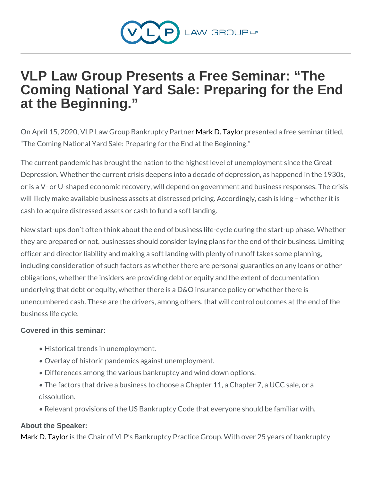## VLP Law Group Presents a Free Seminar: "The Coming National Yard Sale: Preparing for the End at the Beginning."

On April 15, 2020, VLP Law Group MBaak kD up Ttapy besteant the edire e seminary The Coming National Yard Sale: Preparing for the End at the Begir

The current pandemic has brought the nation to the highest level of Depression. Whether the current crisis deepens into a decade of de or is a V- or U-shaped economic recovery, will depend on governme will likely make available business assets at distressed pricing. Ac cash to acquire distressed assets or cash to fund a soft landing.

New start-ups don t often think about the end of business life-cycle they are prepared or not, businesses should consider laying plans f officer and director liability and making a soft landing with plenty of including consideration of such factors as whether there are persor obligations, whether the insiders are providing debt or equity and t underlying that debt or equity, whether there is a D&O insurance po unencumbered cash. These are the drivers, among others, that will business life cycle.

Covered in this seminar:

- " Historical trends in unemployment.
- " Overlay of historic pandemics against unemployment.
- " Differences among the various bankruptcy and wind down optio

" The factors that drive a business to choose a Chapter 11, a C dissolution.

" Relevant provisions of the US Bankruptcy Code that everyone

About the Speaker:

[Mark D. T](https://www.vlplawgroup.com/attorneys/mark-taylor/)aylore Chair of VLP s Bankruptcy Practice Group. With ov